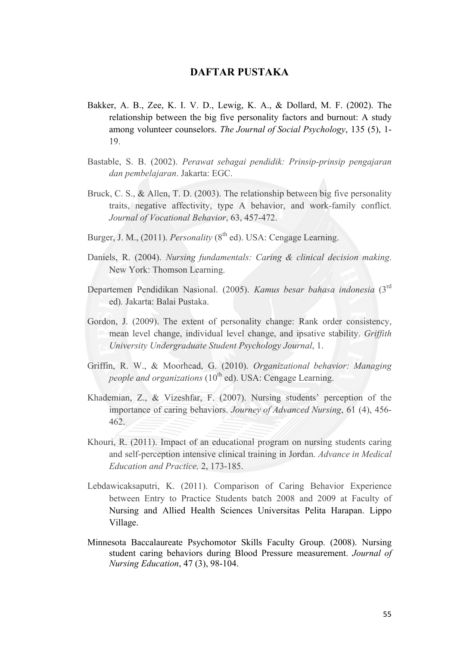## **DAFTAR PUSTAKA**

- Bakker, A. B., Zee, K. I. V. D., Lewig, K. A., & Dollard, M. F. (2002). The relationship between the big five personality factors and burnout: A study among volunteer counselors. *The Journal of Social Psychology*, 135 (5), 1- 19.
- Bastable, S. B. (2002). *Perawat sebagai pendidik: Prinsip-prinsip pengajaran dan pembelajaran*. Jakarta: EGC.
- Bruck, C. S., & Allen, T. D. (2003). The relationship between big five personality traits, negative affectivity, type A behavior, and work-family conflict. *Journal of Vocational Behavior*, 63, 457-472.
- Burger, J. M., (2011). *Personality* (8<sup>th</sup> ed). USA: Cengage Learning.
- Daniels, R. (2004). *Nursing fundamentals: Caring & clinical decision making*. New York: Thomson Learning.
- Departemen Pendidikan Nasional. (2005). *Kamus besar bahasa indonesia* (3rd ed)*.* Jakarta: Balai Pustaka.
- Gordon, J. (2009). The extent of personality change: Rank order consistency, mean level change, individual level change, and ipsative stability. *Griffith University Undergraduate Student Psychology Journal*, 1.
- Griffin, R. W., & Moorhead, G. (2010). *Organizational behavior: Managing people and organizations* (10<sup>th</sup> ed). USA: Cengage Learning.
- Khademian, Z., & Vizeshfar, F. (2007). Nursing students' perception of the importance of caring behaviors. *Journey of Advanced Nursing*, 61 (4), 456- 462.
- Khouri, R. (2011). Impact of an educational program on nursing students caring and self-perception intensive clinical training in Jordan. *Advance in Medical Education and Practice,* 2, 173-185.
- Lebdawicaksaputri, K. (2011). Comparison of Caring Behavior Experience between Entry to Practice Students batch 2008 and 2009 at Faculty of Nursing and Allied Health Sciences Universitas Pelita Harapan. Lippo Village.
- Minnesota Baccalaureate Psychomotor Skills Faculty Group. (2008). Nursing student caring behaviors during Blood Pressure measurement. *Journal of Nursing Education*, 47 (3), 98-104.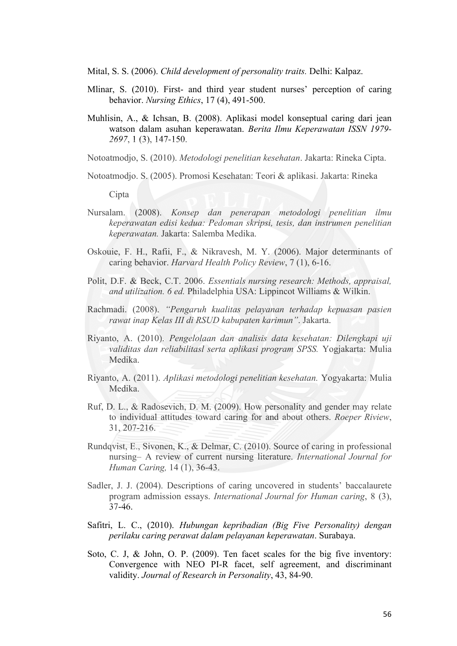Mital, S. S. (2006). *Child development of personality traits.* Delhi: Kalpaz.

- Mlinar, S. (2010). First- and third year student nurses' perception of caring behavior. *Nursing Ethics*, 17 (4), 491-500.
- Muhlisin, A., & Ichsan, B. (2008). Aplikasi model konseptual caring dari jean watson dalam asuhan keperawatan. *Berita Ilmu Keperawatan ISSN 1979- 2697*, 1 (3), 147-150.

Notoatmodjo, S. (2010). *Metodologi penelitian kesehatan*. Jakarta: Rineka Cipta.

Notoatmodjo. S. (2005). Promosi Kesehatan: Teori & aplikasi. Jakarta: Rineka

Cipta

- Nursalam. (2008). *Konsep dan penerapan metodologi penelitian ilmu keperawatan edisi kedua: Pedoman skripsi, tesis, dan instrumen penelitian keperawatan.* Jakarta: Salemba Medika.
- Oskouie, F. H., Rafii, F., & Nikravesh, M. Y. (2006). Major determinants of caring behavior. *Harvard Health Policy Review*, 7 (1), 6-16.
- Polit, D.F. & Beck, C.T. 2006. *Essentials nursing research: Methods, appraisal, and utilization. 6 ed.* Philadelphia USA: Lippincot Williams & Wilkin.
- Rachmadi. (2008). *"Pengaruh kualitas pelayanan terhadap kepuasan pasien rawat inap Kelas III di RSUD kabupaten karimun"*. Jakarta.
- Riyanto, A. (2010). *Pengelolaan dan analisis data kesehatan: Dilengkapi uji validitas dan reliabilitasl serta aplikasi program SPSS.* Yogjakarta: Mulia Medika.
- Riyanto, A. (2011). *Aplikasi metodologi penelitian kesehatan.* Yogyakarta: Mulia Medika.
- Ruf, D. L., & Radosevich, D. M. (2009). How personality and gender may relate to individual attitudes toward caring for and about others. *Roeper Riview*, 31, 207-216.
- Rundqvist, E., Sivonen, K., & Delmar, C. (2010). Source of caring in professional nursing– A review of current nursing literature. *International Journal for Human Caring,* 14 (1), 36-43.
- Sadler, J. J. (2004). Descriptions of caring uncovered in students' baccalaurete program admission essays. *International Journal for Human caring*, 8 (3), 37-46.
- Safitri, L. C., (2010). *Hubungan kepribadian (Big Five Personality) dengan perilaku caring perawat dalam pelayanan keperawatan*. Surabaya.
- Soto, C. J, & John, O. P. (2009). Ten facet scales for the big five inventory: Convergence with NEO PI-R facet, self agreement, and discriminant validity. *Journal of Research in Personality*, 43, 84-90.